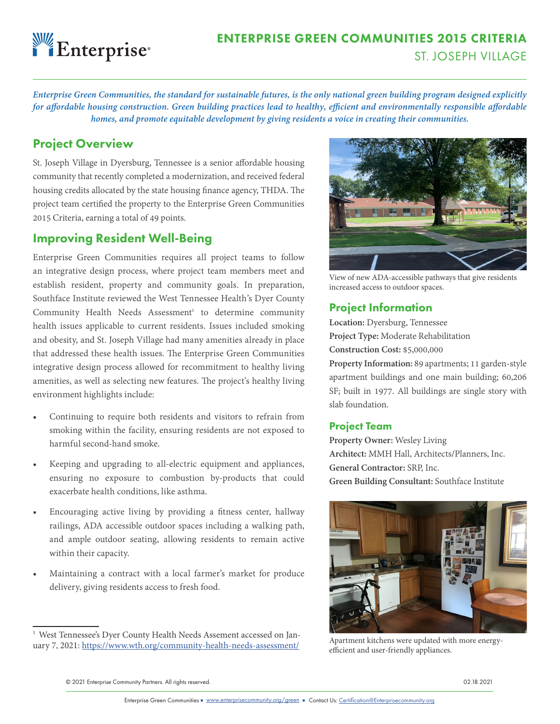# Enterprise

## ENTERPRISE GREEN COMMUNITIES 2015 CRITERIA ST. JOSEPH VILLAGE

*Enterprise Green Communities, the standard for sustainable futures, is the only national green building program designed explicitly for affordable housing construction. Green building practices lead to healthy, efficient and environmentally responsible affordable homes, and promote equitable development by giving residents a voice in creating their communities.*

## Project Overview

St. Joseph Village in Dyersburg, Tennessee is a senior affordable housing community that recently completed a modernization, and received federal housing credits allocated by the state housing finance agency, THDA. The project team certified the property to the Enterprise Green Communities 2015 Criteria, earning a total of 49 points.

## Improving Resident Well-Being

Enterprise Green Communities requires all project teams to follow an integrative design process, where project team members meet and establish resident, property and community goals. In preparation, Southface Institute reviewed the West Tennessee Health's Dyer County Community Health Needs Assessment<sup>1</sup> to determine community health issues applicable to current residents. Issues included smoking and obesity, and St. Joseph Village had many amenities already in place that addressed these health issues. The Enterprise Green Communities integrative design process allowed for recommitment to healthy living amenities, as well as selecting new features. The project's healthy living environment highlights include:

- Continuing to require both residents and visitors to refrain from smoking within the facility, ensuring residents are not exposed to harmful second-hand smoke.
- Keeping and upgrading to all-electric equipment and appliances, ensuring no exposure to combustion by-products that could exacerbate health conditions, like asthma.
- Encouraging active living by providing a fitness center, hallway railings, ADA accessible outdoor spaces including a walking path, and ample outdoor seating, allowing residents to remain active within their capacity.
- Maintaining a contract with a local farmer's market for produce delivery, giving residents access to fresh food.



View of new ADA-accessible pathways that give residents increased access to outdoor spaces.

## Project Information

**Location:** Dyersburg, Tennessee **Project Type:** Moderate Rehabilitation **Construction Cost:** \$5,000,000

**Property Information:** 89 apartments; 11 garden-style apartment buildings and one main building; 60,206 SF; built in 1977. All buildings are single story with slab foundation.

#### Project Team

**Property Owner:** Wesley Living **Architect:** MMH Hall, Architects/Planners, Inc. **General Contractor:** SRP, Inc. **Green Building Consultant:** Southface Institute



Apartment kitchens were updated with more energyefficient and user-friendly appliances.

© 2021 Enterprise Community Partners. All rights reserved. 02.18.2021

<sup>&</sup>lt;sup>1</sup> West Tennessee's Dyer County Health Needs Assement accessed on January 7, 2021: https://www.wth.org/community-health-needs-assessment/